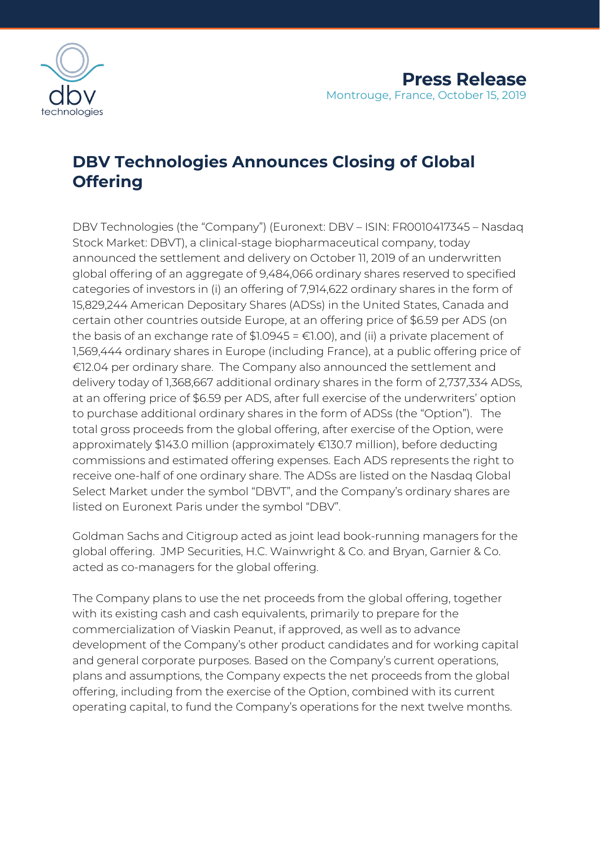

# **DBV Technologies Announces Closing of Global Offering**

DBV Technologies (the "Company") (Euronext: DBV – ISIN: FR0010417345 – Nasdaq Stock Market: DBVT), a clinical-stage biopharmaceutical company, today announced the settlement and delivery on October 11, 2019 of an underwritten global offering of an aggregate of 9,484,066 ordinary shares reserved to specified categories of investors in (i) an offering of 7,914,622 ordinary shares in the form of 15,829,244 American Depositary Shares (ADSs) in the United States, Canada and certain other countries outside Europe, at an offering price of \$6.59 per ADS (on the basis of an exchange rate of  $$1.0945 = £1.00$ , and (ii) a private placement of 1,569,444 ordinary shares in Europe (including France), at a public offering price of €12.04 per ordinary share. The Company also announced the settlement and delivery today of 1,368,667 additional ordinary shares in the form of 2,737,334 ADSs, at an offering price of \$6.59 per ADS, after full exercise of the underwriters' option to purchase additional ordinary shares in the form of ADSs (the "Option"). The total gross proceeds from the global offering, after exercise of the Option, were approximately \$143.0 million (approximately €130.7 million), before deducting commissions and estimated offering expenses. Each ADS represents the right to receive one-half of one ordinary share. The ADSs are listed on the Nasdaq Global Select Market under the symbol "DBVT", and the Company's ordinary shares are listed on Euronext Paris under the symbol "DBV".

Goldman Sachs and Citigroup acted as joint lead book-running managers for the global offering. JMP Securities, H.C. Wainwright & Co. and Bryan, Garnier & Co. acted as co-managers for the global offering.

The Company plans to use the net proceeds from the global offering, together with its existing cash and cash equivalents, primarily to prepare for the commercialization of Viaskin Peanut, if approved, as well as to advance development of the Company's other product candidates and for working capital and general corporate purposes. Based on the Company's current operations, plans and assumptions, the Company expects the net proceeds from the global offering, including from the exercise of the Option, combined with its current operating capital, to fund the Company's operations for the next twelve months.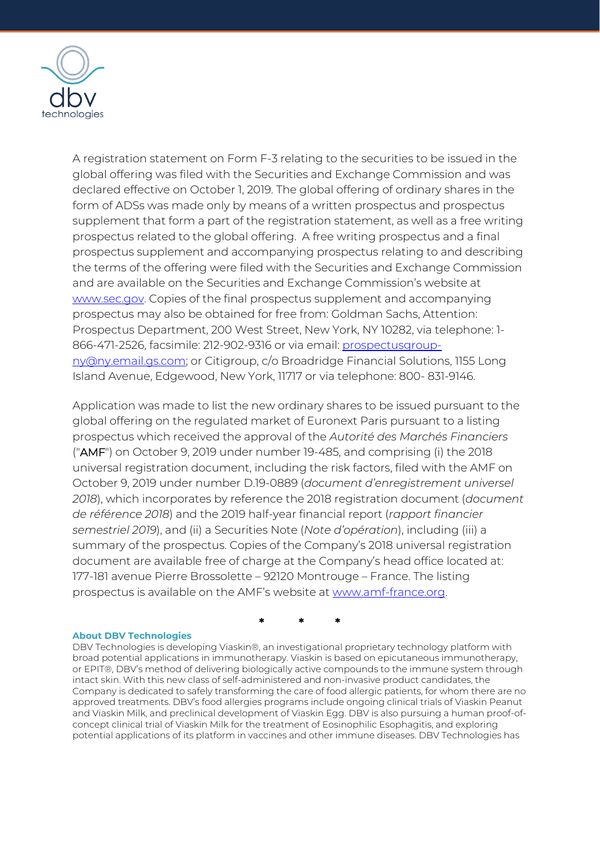

A registration statement on Form F-3 relating to the securities to be issued in the global offering was filed with the Securities and Exchange Commission and was declared effective on October 1, 2019. The global offering of ordinary shares in the form of ADSs was made only by means of a written prospectus and prospectus supplement that form a part of the registration statement, as well as a free writing prospectus related to the global offering. A free writing prospectus and a final prospectus supplement and accompanying prospectus relating to and describing the terms of the offering were filed with the Securities and Exchange Commission and are available on the Securities and Exchange Commission's website at [www.sec.gov.](http://www.sec.gov/) Copies of the final prospectus supplement and accompanying prospectus may also be obtained for free from: Goldman Sachs, Attention: Prospectus Department, 200 West Street, New York, NY 10282, via telephone: 1- 866-471-2526, facsimile: 212-902-9316 or via email[: prospectusgroup](mailto:prospectusgroup-ny@ny.email.gs.com)[ny@ny.email.gs.com;](mailto:prospectusgroup-ny@ny.email.gs.com) or Citigroup, c/o Broadridge Financial Solutions, 1155 Long Island Avenue, Edgewood, New York, 11717 or via telephone: 800- 831-9146.

Application was made to list the new ordinary shares to be issued pursuant to the global offering on the regulated market of Euronext Paris pursuant to a listing prospectus which received the approval of the *Autorité des Marchés Financiers*  ("AMF") on October 9, 2019 under number 19-485, and comprising (i) the 2018 universal registration document, including the risk factors, filed with the AMF on October 9, 2019 under number D.19-0889 (*document d'enregistrement universel 2018*), which incorporates by reference the 2018 registration document (*document de référence 2018*) and the 2019 half-year financial report (*rapport financier semestriel 2019*), and (ii) a Securities Note (*Note d'opération*), including (iii) a summary of the prospectus. Copies of the Company's 2018 universal registration document are available free of charge at the Company's head office located at: 177-181 avenue Pierre Brossolette – 92120 Montrouge – France. The listing prospectus is available on the AMF's website at [www.amf-france.org.](http://www.amf-france.org/)

**\* \* \***

#### **About DBV Technologies**

DBV Technologies is developing Viaskin®, an investigational proprietary technology platform with broad potential applications in immunotherapy. Viaskin is based on epicutaneous immunotherapy, or EPIT®, DBV's method of delivering biologically active compounds to the immune system through intact skin. With this new class of self-administered and non-invasive product candidates, the Company is dedicated to safely transforming the care of food allergic patients, for whom there are no approved treatments. DBV's food allergies programs include ongoing clinical trials of Viaskin Peanut and Viaskin Milk, and preclinical development of Viaskin Egg. DBV is also pursuing a human proof-ofconcept clinical trial of Viaskin Milk for the treatment of Eosinophilic Esophagitis, and exploring potential applications of its platform in vaccines and other immune diseases. DBV Technologies has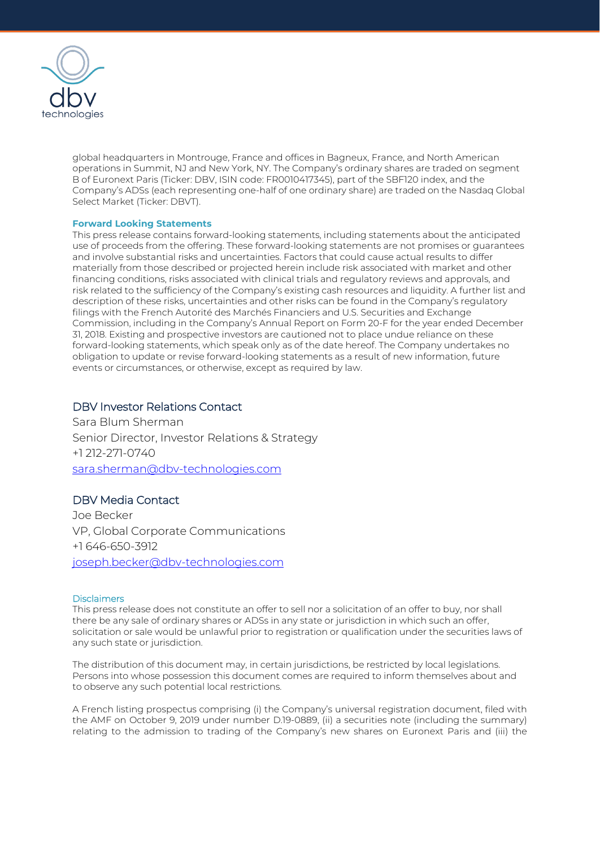

global headquarters in Montrouge, France and offices in Bagneux, France, and North American operations in Summit, NJ and New York, NY. The Company's ordinary shares are traded on segment B of Euronext Paris (Ticker: DBV, ISIN code: FR0010417345), part of the SBF120 index, and the Company's ADSs (each representing one-half of one ordinary share) are traded on the Nasdaq Global Select Market (Ticker: DBVT).

#### **Forward Looking Statements**

This press release contains forward-looking statements, including statements about the anticipated use of proceeds from the offering. These forward-looking statements are not promises or guarantees and involve substantial risks and uncertainties. Factors that could cause actual results to differ materially from those described or projected herein include risk associated with market and other financing conditions, risks associated with clinical trials and regulatory reviews and approvals, and risk related to the sufficiency of the Company's existing cash resources and liquidity. A further list and description of these risks, uncertainties and other risks can be found in the Company's regulatory filings with the French Autorité des Marchés Financiers and U.S. Securities and Exchange Commission, including in the Company's Annual Report on Form 20-F for the year ended December 31, 2018. Existing and prospective investors are cautioned not to place undue reliance on these forward-looking statements, which speak only as of the date hereof. The Company undertakes no obligation to update or revise forward-looking statements as a result of new information, future events or circumstances, or otherwise, except as required by law.

## DBV Investor Relations Contact

Sara Blum Sherman Senior Director, Investor Relations & Strategy +1 212-271-0740 [sara.sherman@dbv-technologies.com](mailto:sara.sherman@dbv-technologies.com)

## DBV Media Contact

Joe Becker VP, Global Corporate Communications +1 646-650-3912 [joseph.becker@dbv-technologies.com](mailto:joseph.becker@dbv-technologies.com)

### **Disclaimers**

This press release does not constitute an offer to sell nor a solicitation of an offer to buy, nor shall there be any sale of ordinary shares or ADSs in any state or jurisdiction in which such an offer, solicitation or sale would be unlawful prior to registration or qualification under the securities laws of any such state or jurisdiction.

The distribution of this document may, in certain jurisdictions, be restricted by local legislations. Persons into whose possession this document comes are required to inform themselves about and to observe any such potential local restrictions.

A French listing prospectus comprising (i) the Company's universal registration document, filed with the AMF on October 9, 2019 under number D.19-0889, (ii) a securities note (including the summary) relating to the admission to trading of the Company's new shares on Euronext Paris and (iii) the